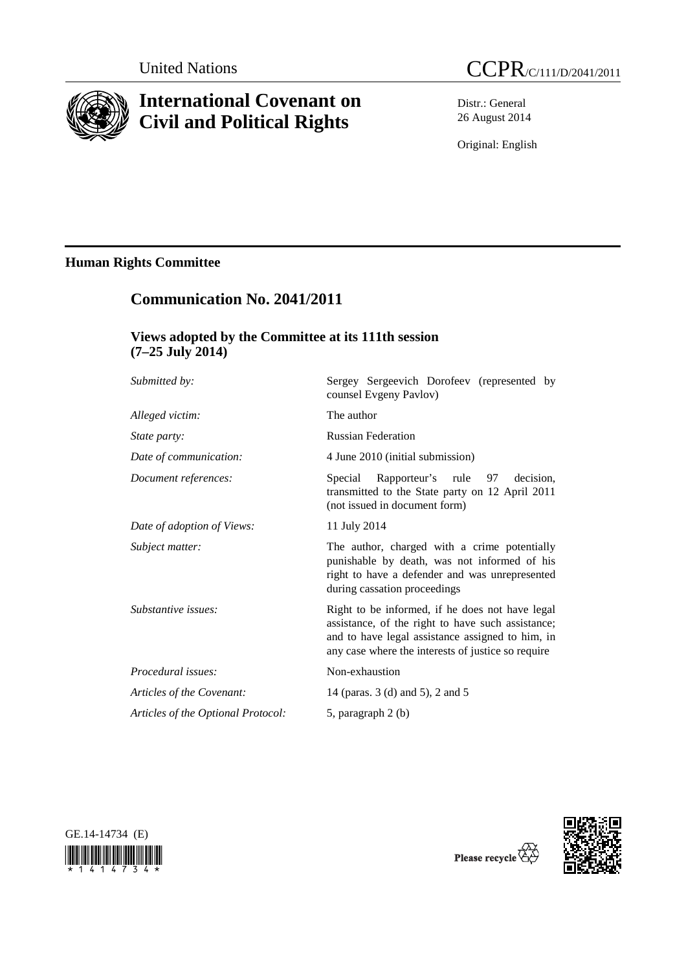

# **International Covenant on Civil and Political Rights**

Distr.: General 26 August 2014

Original: English

# **Human Rights Committee**

# **Communication No. 2041/2011**

## **Views adopted by the Committee at its 111th session (7–25 July 2014)**

| Submitted by:                      | Sergey Sergeevich Dorofeev (represented by<br>counsel Evgeny Pavlov)                                                                                                                                           |
|------------------------------------|----------------------------------------------------------------------------------------------------------------------------------------------------------------------------------------------------------------|
| Alleged victim:                    | The author                                                                                                                                                                                                     |
| <i>State party:</i>                | <b>Russian Federation</b>                                                                                                                                                                                      |
| Date of communication:             | 4 June 2010 (initial submission)                                                                                                                                                                               |
| Document references:               | Rapporteur's rule<br>97<br>decision.<br>Special<br>transmitted to the State party on 12 April 2011<br>(not issued in document form)                                                                            |
| Date of adoption of Views:         | 11 July 2014                                                                                                                                                                                                   |
| Subject matter:                    | The author, charged with a crime potentially<br>punishable by death, was not informed of his<br>right to have a defender and was unrepresented<br>during cassation proceedings                                 |
| Substantive issues:                | Right to be informed, if he does not have legal<br>assistance, of the right to have such assistance;<br>and to have legal assistance assigned to him, in<br>any case where the interests of justice so require |
| Procedural issues:                 | Non-exhaustion                                                                                                                                                                                                 |
| Articles of the Covenant:          | 14 (paras. 3 (d) and 5), 2 and 5                                                                                                                                                                               |
| Articles of the Optional Protocol: | 5, paragraph 2 (b)                                                                                                                                                                                             |
|                                    |                                                                                                                                                                                                                |





Please recycle  $\overline{\mathcal{C}}$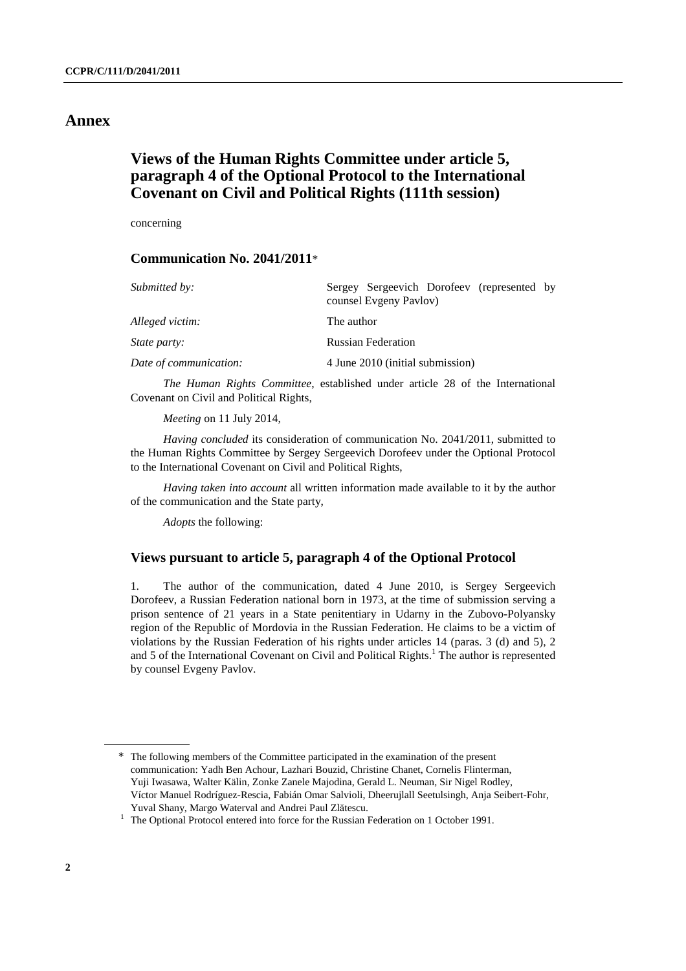## **Annex**

## **Views of the Human Rights Committee under article 5, paragraph 4 of the Optional Protocol to the International Covenant on Civil and Political Rights (111th session)**

concerning

### **Communication No. 2041/2011**\*

| Sergey Sergeevich Dorofeev (represented by<br>counsel Evgeny Pavlov) |
|----------------------------------------------------------------------|
| The author                                                           |
| <b>Russian Federation</b>                                            |
| 4 June 2010 (initial submission)                                     |
|                                                                      |

 *The Human Rights Committee*, established under article 28 of the International Covenant on Civil and Political Rights,

*Meeting* on 11 July 2014,

*Having concluded* its consideration of communication No. 2041/2011, submitted to the Human Rights Committee by Sergey Sergeevich Dorofeev under the Optional Protocol to the International Covenant on Civil and Political Rights,

*Having taken into account* all written information made available to it by the author of the communication and the State party,

*Adopts* the following:

### **Views pursuant to article 5, paragraph 4 of the Optional Protocol**

1. The author of the communication, dated 4 June 2010, is Sergey Sergeevich Dorofeev, a Russian Federation national born in 1973, at the time of submission serving a prison sentence of 21 years in a State penitentiary in Udarny in the Zubovo-Polyansky region of the Republic of Mordovia in the Russian Federation. He claims to be a victim of violations by the Russian Federation of his rights under articles 14 (paras. 3 (d) and 5), 2 and 5 of the International Covenant on Civil and Political Rights.<sup>1</sup> The author is represented by counsel Evgeny Pavlov.

<sup>\*</sup> The following members of the Committee participated in the examination of the present communication: Yadh Ben Achour, Lazhari Bouzid, Christine Chanet, Cornelis Flinterman, Yuji Iwasawa, Walter Kälin, Zonke Zanele Majodina, Gerald L. Neuman, Sir Nigel Rodley, Víctor Manuel Rodríguez-Rescia, Fabián Omar Salvioli, Dheerujlall Seetulsingh, Anja Seibert-Fohr, Yuval Shany, Margo Waterval and Andrei Paul Zl<sup>ă</sup>tescu. 1

 $1$  The Optional Protocol entered into force for the Russian Federation on 1 October 1991.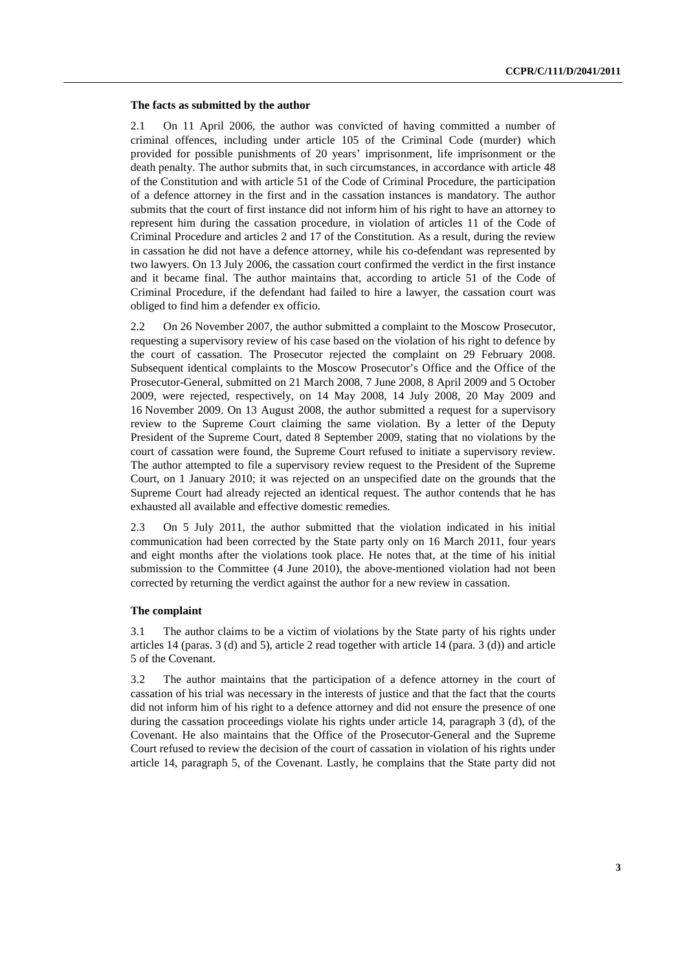#### **The facts as submitted by the author**

2.1 On 11 April 2006, the author was convicted of having committed a number of criminal offences, including under article 105 of the Criminal Code (murder) which provided for possible punishments of 20 years' imprisonment, life imprisonment or the death penalty. The author submits that, in such circumstances, in accordance with article 48 of the Constitution and with article 51 of the Code of Criminal Procedure, the participation of a defence attorney in the first and in the cassation instances is mandatory. The author submits that the court of first instance did not inform him of his right to have an attorney to represent him during the cassation procedure, in violation of articles 11 of the Code of Criminal Procedure and articles 2 and 17 of the Constitution. As a result, during the review in cassation he did not have a defence attorney, while his co-defendant was represented by two lawyers. On 13 July 2006, the cassation court confirmed the verdict in the first instance and it became final. The author maintains that, according to article 51 of the Code of Criminal Procedure, if the defendant had failed to hire a lawyer, the cassation court was obliged to find him a defender ex officio.

2.2 On 26 November 2007, the author submitted a complaint to the Moscow Prosecutor, requesting a supervisory review of his case based on the violation of his right to defence by the court of cassation. The Prosecutor rejected the complaint on 29 February 2008. Subsequent identical complaints to the Moscow Prosecutor's Office and the Office of the Prosecutor-General, submitted on 21 March 2008, 7 June 2008, 8 April 2009 and 5 October 2009, were rejected, respectively, on 14 May 2008, 14 July 2008, 20 May 2009 and 16 November 2009. On 13 August 2008, the author submitted a request for a supervisory review to the Supreme Court claiming the same violation. By a letter of the Deputy President of the Supreme Court, dated 8 September 2009, stating that no violations by the court of cassation were found, the Supreme Court refused to initiate a supervisory review. The author attempted to file a supervisory review request to the President of the Supreme Court, on 1 January 2010; it was rejected on an unspecified date on the grounds that the Supreme Court had already rejected an identical request. The author contends that he has exhausted all available and effective domestic remedies.

2.3 On 5 July 2011, the author submitted that the violation indicated in his initial communication had been corrected by the State party only on 16 March 2011, four years and eight months after the violations took place. He notes that, at the time of his initial submission to the Committee (4 June 2010), the above-mentioned violation had not been corrected by returning the verdict against the author for a new review in cassation.

#### **The complaint**

3.1 The author claims to be a victim of violations by the State party of his rights under articles 14 (paras. 3 (d) and 5), article 2 read together with article 14 (para. 3 (d)) and article 5 of the Covenant.

3.2 The author maintains that the participation of a defence attorney in the court of cassation of his trial was necessary in the interests of justice and that the fact that the courts did not inform him of his right to a defence attorney and did not ensure the presence of one during the cassation proceedings violate his rights under article 14, paragraph 3 (d), of the Covenant. He also maintains that the Office of the Prosecutor-General and the Supreme Court refused to review the decision of the court of cassation in violation of his rights under article 14, paragraph 5, of the Covenant. Lastly, he complains that the State party did not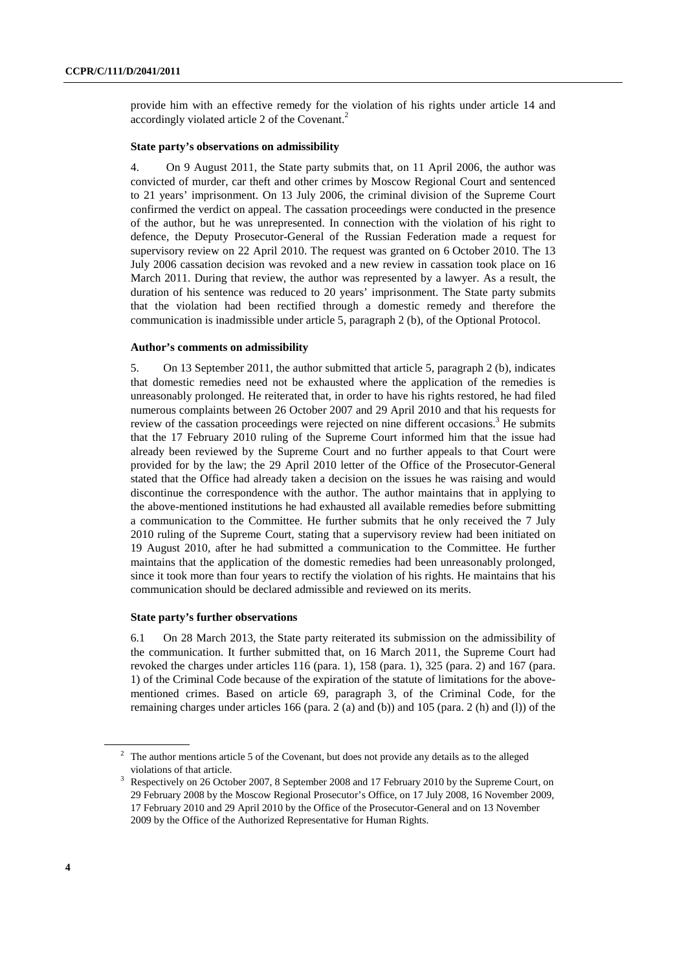provide him with an effective remedy for the violation of his rights under article 14 and accordingly violated article 2 of the Covenant.<sup>2</sup>

#### **State party's observations on admissibility**

4. On 9 August 2011, the State party submits that, on 11 April 2006, the author was convicted of murder, car theft and other crimes by Moscow Regional Court and sentenced to 21 years' imprisonment. On 13 July 2006, the criminal division of the Supreme Court confirmed the verdict on appeal. The cassation proceedings were conducted in the presence of the author, but he was unrepresented. In connection with the violation of his right to defence, the Deputy Prosecutor-General of the Russian Federation made a request for supervisory review on 22 April 2010. The request was granted on 6 October 2010. The 13 July 2006 cassation decision was revoked and a new review in cassation took place on 16 March 2011. During that review, the author was represented by a lawyer. As a result, the duration of his sentence was reduced to 20 years' imprisonment. The State party submits that the violation had been rectified through a domestic remedy and therefore the communication is inadmissible under article 5, paragraph 2 (b), of the Optional Protocol.

#### **Author's comments on admissibility**

5. On 13 September 2011, the author submitted that article 5, paragraph 2 (b), indicates that domestic remedies need not be exhausted where the application of the remedies is unreasonably prolonged. He reiterated that, in order to have his rights restored, he had filed numerous complaints between 26 October 2007 and 29 April 2010 and that his requests for review of the cassation proceedings were rejected on nine different occasions.<sup>3</sup> He submits that the 17 February 2010 ruling of the Supreme Court informed him that the issue had already been reviewed by the Supreme Court and no further appeals to that Court were provided for by the law; the 29 April 2010 letter of the Office of the Prosecutor-General stated that the Office had already taken a decision on the issues he was raising and would discontinue the correspondence with the author. The author maintains that in applying to the above-mentioned institutions he had exhausted all available remedies before submitting a communication to the Committee. He further submits that he only received the 7 July 2010 ruling of the Supreme Court, stating that a supervisory review had been initiated on 19 August 2010, after he had submitted a communication to the Committee. He further maintains that the application of the domestic remedies had been unreasonably prolonged, since it took more than four years to rectify the violation of his rights. He maintains that his communication should be declared admissible and reviewed on its merits.

#### **State party's further observations**

6.1 On 28 March 2013, the State party reiterated its submission on the admissibility of the communication. It further submitted that, on 16 March 2011, the Supreme Court had revoked the charges under articles 116 (para. 1), 158 (para. 1), 325 (para. 2) and 167 (para. 1) of the Criminal Code because of the expiration of the statute of limitations for the abovementioned crimes. Based on article 69, paragraph 3, of the Criminal Code, for the remaining charges under articles 166 (para. 2 (a) and (b)) and 105 (para. 2 (h) and (l)) of the

 $2$  The author mentions article 5 of the Covenant, but does not provide any details as to the alleged

violations of that article.<br><sup>3</sup> Respectively on 26 October 2007, 8 September 2008 and 17 February 2010 by the Supreme Court, on 29 February 2008 by the Moscow Regional Prosecutor's Office, on 17 July 2008, 16 November 2009, 17 February 2010 and 29 April 2010 by the Office of the Prosecutor-General and on 13 November 2009 by the Office of the Authorized Representative for Human Rights.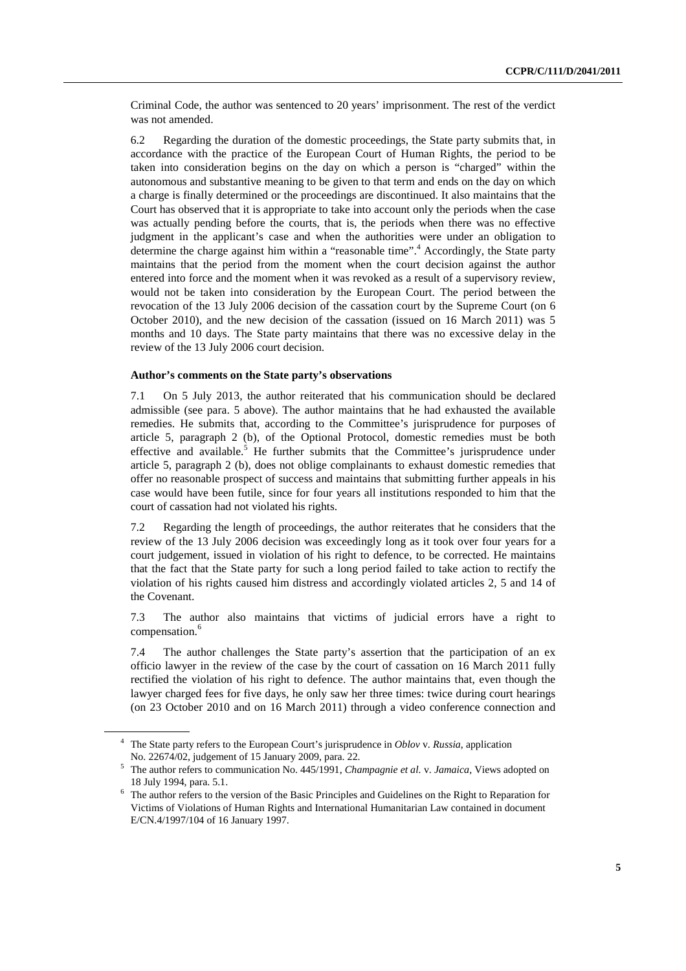Criminal Code, the author was sentenced to 20 years' imprisonment. The rest of the verdict was not amended.

6.2 Regarding the duration of the domestic proceedings, the State party submits that, in accordance with the practice of the European Court of Human Rights, the period to be taken into consideration begins on the day on which a person is "charged" within the autonomous and substantive meaning to be given to that term and ends on the day on which a charge is finally determined or the proceedings are discontinued. It also maintains that the Court has observed that it is appropriate to take into account only the periods when the case was actually pending before the courts, that is, the periods when there was no effective judgment in the applicant's case and when the authorities were under an obligation to determine the charge against him within a "reasonable time".<sup>4</sup> Accordingly, the State party maintains that the period from the moment when the court decision against the author entered into force and the moment when it was revoked as a result of a supervisory review, would not be taken into consideration by the European Court. The period between the revocation of the 13 July 2006 decision of the cassation court by the Supreme Court (on 6 October 2010), and the new decision of the cassation (issued on 16 March 2011) was 5 months and 10 days. The State party maintains that there was no excessive delay in the review of the 13 July 2006 court decision.

#### **Author's comments on the State party's observations**

7.1 On 5 July 2013, the author reiterated that his communication should be declared admissible (see para. 5 above). The author maintains that he had exhausted the available remedies. He submits that, according to the Committee's jurisprudence for purposes of article 5, paragraph 2 (b), of the Optional Protocol, domestic remedies must be both effective and available.<sup>5</sup> He further submits that the Committee's jurisprudence under article 5, paragraph 2 (b), does not oblige complainants to exhaust domestic remedies that offer no reasonable prospect of success and maintains that submitting further appeals in his case would have been futile, since for four years all institutions responded to him that the court of cassation had not violated his rights.

7.2 Regarding the length of proceedings, the author reiterates that he considers that the review of the 13 July 2006 decision was exceedingly long as it took over four years for a court judgement, issued in violation of his right to defence, to be corrected. He maintains that the fact that the State party for such a long period failed to take action to rectify the violation of his rights caused him distress and accordingly violated articles 2, 5 and 14 of the Covenant.

7.3 The author also maintains that victims of judicial errors have a right to compensation.<sup>6</sup>

7.4 The author challenges the State party's assertion that the participation of an ex officio lawyer in the review of the case by the court of cassation on 16 March 2011 fully rectified the violation of his right to defence. The author maintains that, even though the lawyer charged fees for five days, he only saw her three times: twice during court hearings (on 23 October 2010 and on 16 March 2011) through a video conference connection and

<sup>4</sup> The State party refers to the European Court's jurisprudence in *Oblov* v. *Russia*, application

No. 22674/02, judgement of 15 January 2009, para. 22.<br><sup>5</sup> The author refers to communication No. 445/1991, *Champagnie et al.* v. *Jamaica*, Views adopted on

<sup>18</sup> July 1994, para. 5.1.<br><sup>6</sup> The author refers to the version of the Basic Principles and Guidelines on the Right to Reparation for Victims of Violations of Human Rights and International Humanitarian Law contained in document E/CN.4/1997/104 of 16 January 1997.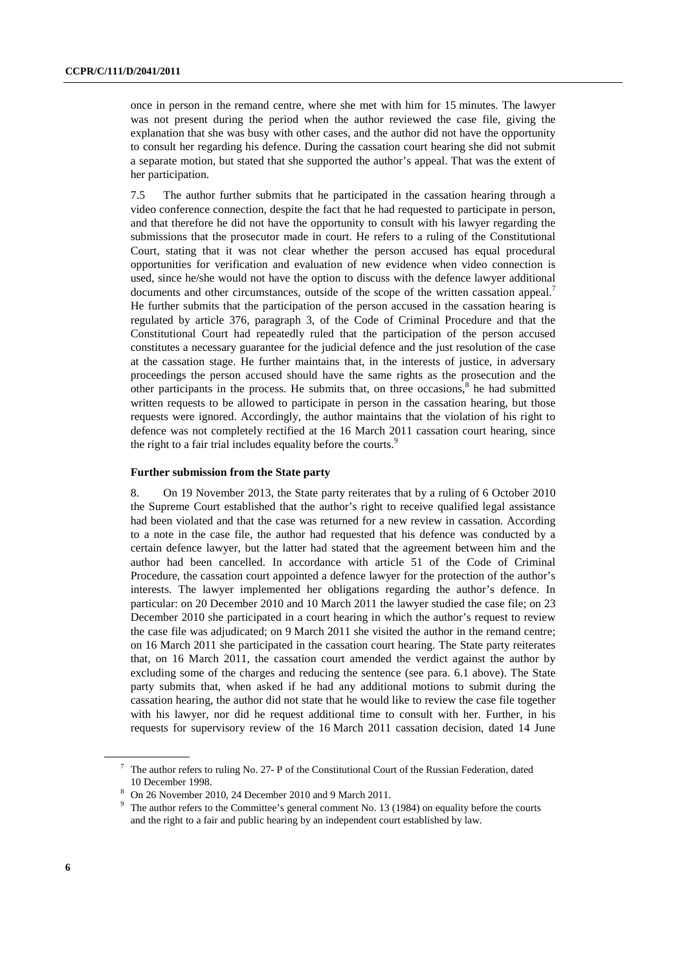once in person in the remand centre, where she met with him for 15 minutes. The lawyer was not present during the period when the author reviewed the case file, giving the explanation that she was busy with other cases, and the author did not have the opportunity to consult her regarding his defence. During the cassation court hearing she did not submit a separate motion, but stated that she supported the author's appeal. That was the extent of her participation.

7.5 The author further submits that he participated in the cassation hearing through a video conference connection, despite the fact that he had requested to participate in person, and that therefore he did not have the opportunity to consult with his lawyer regarding the submissions that the prosecutor made in court. He refers to a ruling of the Constitutional Court, stating that it was not clear whether the person accused has equal procedural opportunities for verification and evaluation of new evidence when video connection is used, since he/she would not have the option to discuss with the defence lawyer additional documents and other circumstances, outside of the scope of the written cassation appeal.<sup>7</sup> He further submits that the participation of the person accused in the cassation hearing is regulated by article 376, paragraph 3, of the Code of Criminal Procedure and that the Constitutional Court had repeatedly ruled that the participation of the person accused constitutes a necessary guarantee for the judicial defence and the just resolution of the case at the cassation stage. He further maintains that, in the interests of justice, in adversary proceedings the person accused should have the same rights as the prosecution and the other participants in the process. He submits that, on three occasions,<sup>8</sup> he had submitted written requests to be allowed to participate in person in the cassation hearing, but those requests were ignored. Accordingly, the author maintains that the violation of his right to defence was not completely rectified at the 16 March 2011 cassation court hearing, since the right to a fair trial includes equality before the courts.<sup>9</sup>

#### **Further submission from the State party**

8. On 19 November 2013, the State party reiterates that by a ruling of 6 October 2010 the Supreme Court established that the author's right to receive qualified legal assistance had been violated and that the case was returned for a new review in cassation. According to a note in the case file, the author had requested that his defence was conducted by a certain defence lawyer, but the latter had stated that the agreement between him and the author had been cancelled. In accordance with article 51 of the Code of Criminal Procedure, the cassation court appointed a defence lawyer for the protection of the author's interests. The lawyer implemented her obligations regarding the author's defence. In particular: on 20 December 2010 and 10 March 2011 the lawyer studied the case file; on 23 December 2010 she participated in a court hearing in which the author's request to review the case file was adjudicated; on 9 March 2011 she visited the author in the remand centre; on 16 March 2011 she participated in the cassation court hearing. The State party reiterates that, on 16 March 2011, the cassation court amended the verdict against the author by excluding some of the charges and reducing the sentence (see para. 6.1 above). The State party submits that, when asked if he had any additional motions to submit during the cassation hearing, the author did not state that he would like to review the case file together with his lawyer, nor did he request additional time to consult with her. Further, in his requests for supervisory review of the 16 March 2011 cassation decision, dated 14 June

<sup>&</sup>lt;sup>7</sup> The author refers to ruling No. 27- P of the Constitutional Court of the Russian Federation, dated 10 December 1998.<br> $8 \text{ On } 26 \text{ November } 20$ 

<sup>&</sup>lt;sup>8</sup> On 26 November 2010, 24 December 2010 and 9 March 2011.<br><sup>9</sup> The surface to the Committee's general comment No. 13.

<sup>&</sup>lt;sup>9</sup> The author refers to the Committee's general comment No. 13 (1984) on equality before the courts and the right to a fair and public hearing by an independent court established by law.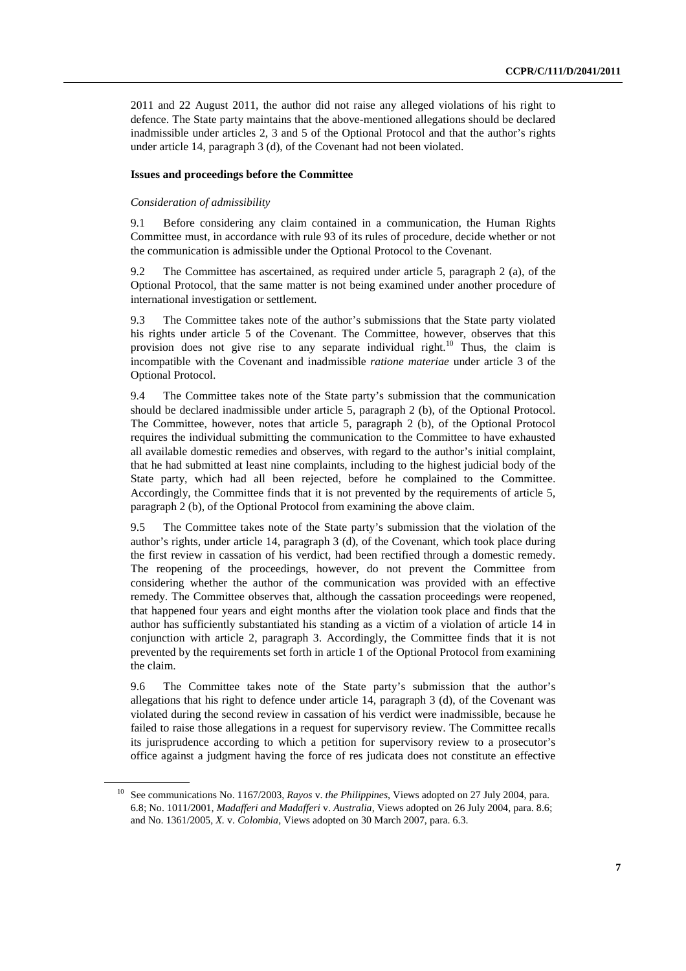2011 and 22 August 2011, the author did not raise any alleged violations of his right to defence. The State party maintains that the above-mentioned allegations should be declared inadmissible under articles 2, 3 and 5 of the Optional Protocol and that the author's rights under article 14, paragraph 3 (d), of the Covenant had not been violated.

#### **Issues and proceedings before the Committee**

#### *Consideration of admissibility*

9.1 Before considering any claim contained in a communication, the Human Rights Committee must, in accordance with rule 93 of its rules of procedure, decide whether or not the communication is admissible under the Optional Protocol to the Covenant.

9.2 The Committee has ascertained, as required under article 5, paragraph 2 (a), of the Optional Protocol, that the same matter is not being examined under another procedure of international investigation or settlement.

9.3 The Committee takes note of the author's submissions that the State party violated his rights under article 5 of the Covenant. The Committee, however, observes that this provision does not give rise to any separate individual right.<sup>10</sup> Thus, the claim is incompatible with the Covenant and inadmissible *ratione materiae* under article 3 of the Optional Protocol.

9.4 The Committee takes note of the State party's submission that the communication should be declared inadmissible under article 5, paragraph 2 (b), of the Optional Protocol. The Committee, however, notes that article 5, paragraph 2 (b), of the Optional Protocol requires the individual submitting the communication to the Committee to have exhausted all available domestic remedies and observes, with regard to the author's initial complaint, that he had submitted at least nine complaints, including to the highest judicial body of the State party, which had all been rejected, before he complained to the Committee. Accordingly, the Committee finds that it is not prevented by the requirements of article 5, paragraph 2 (b), of the Optional Protocol from examining the above claim.

9.5 The Committee takes note of the State party's submission that the violation of the author's rights, under article 14, paragraph 3 (d), of the Covenant, which took place during the first review in cassation of his verdict, had been rectified through a domestic remedy. The reopening of the proceedings, however, do not prevent the Committee from considering whether the author of the communication was provided with an effective remedy. The Committee observes that, although the cassation proceedings were reopened, that happened four years and eight months after the violation took place and finds that the author has sufficiently substantiated his standing as a victim of a violation of article 14 in conjunction with article 2, paragraph 3. Accordingly, the Committee finds that it is not prevented by the requirements set forth in article 1 of the Optional Protocol from examining the claim.

9.6 The Committee takes note of the State party's submission that the author's allegations that his right to defence under article 14, paragraph 3 (d), of the Covenant was violated during the second review in cassation of his verdict were inadmissible, because he failed to raise those allegations in a request for supervisory review. The Committee recalls its jurisprudence according to which a petition for supervisory review to a prosecutor's office against a judgment having the force of res judicata does not constitute an effective

<sup>10</sup> See communications No. 1167/2003, *Rayos* v. *the Philippines*, Views adopted on 27 July 2004, para. 6.8; No. 1011/2001, *Madafferi and Madafferi* v. *Australia*, Views adopted on 26 July 2004, para. 8.6; and No. 1361/2005, *X.* v. *Colombia*, Views adopted on 30 March 2007, para. 6.3.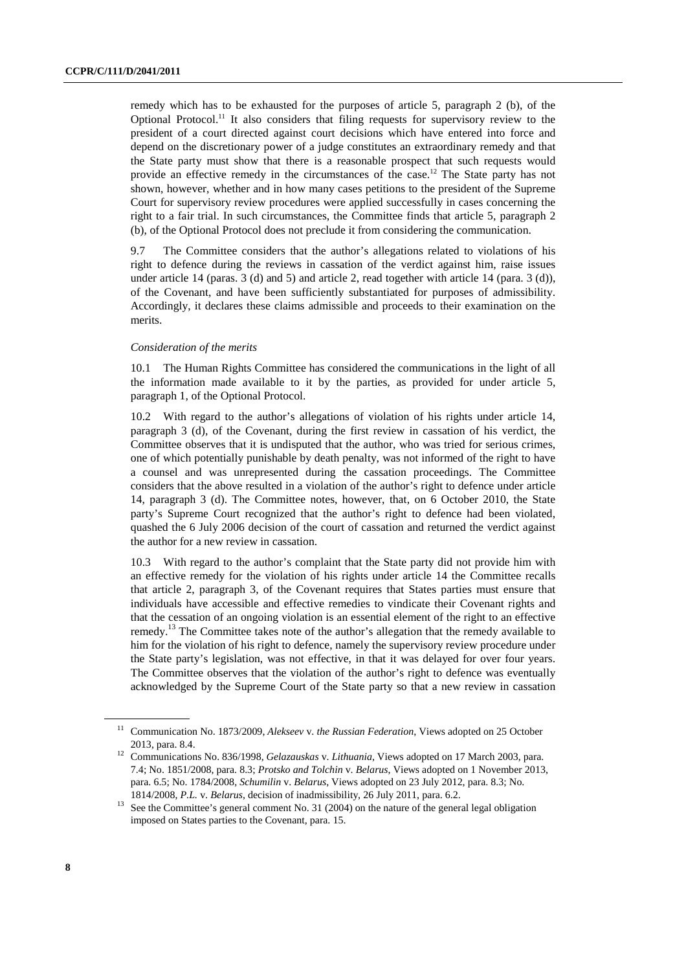remedy which has to be exhausted for the purposes of article 5, paragraph 2 (b), of the Optional Protocol.<sup>11</sup> It also considers that filing requests for supervisory review to the president of a court directed against court decisions which have entered into force and depend on the discretionary power of a judge constitutes an extraordinary remedy and that the State party must show that there is a reasonable prospect that such requests would provide an effective remedy in the circumstances of the case.<sup>12</sup> The State party has not shown, however, whether and in how many cases petitions to the president of the Supreme Court for supervisory review procedures were applied successfully in cases concerning the right to a fair trial. In such circumstances, the Committee finds that article 5, paragraph 2 (b), of the Optional Protocol does not preclude it from considering the communication.

9.7 The Committee considers that the author's allegations related to violations of his right to defence during the reviews in cassation of the verdict against him, raise issues under article 14 (paras. 3 (d) and 5) and article 2, read together with article 14 (para. 3 (d)), of the Covenant, and have been sufficiently substantiated for purposes of admissibility. Accordingly, it declares these claims admissible and proceeds to their examination on the merits.

#### *Consideration of the merits*

10.1 The Human Rights Committee has considered the communications in the light of all the information made available to it by the parties, as provided for under article 5, paragraph 1, of the Optional Protocol.

10.2 With regard to the author's allegations of violation of his rights under article 14, paragraph 3 (d), of the Covenant, during the first review in cassation of his verdict, the Committee observes that it is undisputed that the author, who was tried for serious crimes, one of which potentially punishable by death penalty, was not informed of the right to have a counsel and was unrepresented during the cassation proceedings. The Committee considers that the above resulted in a violation of the author's right to defence under article 14, paragraph 3 (d). The Committee notes, however, that, on 6 October 2010, the State party's Supreme Court recognized that the author's right to defence had been violated, quashed the 6 July 2006 decision of the court of cassation and returned the verdict against the author for a new review in cassation.

10.3 With regard to the author's complaint that the State party did not provide him with an effective remedy for the violation of his rights under article 14 the Committee recalls that article 2, paragraph 3, of the Covenant requires that States parties must ensure that individuals have accessible and effective remedies to vindicate their Covenant rights and that the cessation of an ongoing violation is an essential element of the right to an effective remedy.<sup>13</sup> The Committee takes note of the author's allegation that the remedy available to him for the violation of his right to defence, namely the supervisory review procedure under the State party's legislation, was not effective, in that it was delayed for over four years. The Committee observes that the violation of the author's right to defence was eventually acknowledged by the Supreme Court of the State party so that a new review in cassation

<sup>11</sup> Communication No. 1873/2009, *Alekseev* v. *the Russian Federation*, Views adopted on 25 October

<sup>2013,</sup> para. 8.4. 12 Communications No. 836/1998, *Gelazauskas* v. *Lithuania*, Views adopted on 17 March 2003, para. 7.4; No. 1851/2008, para. 8.3; *Protsko and Tolchin* v. *Belarus*, Views adopted on 1 November 2013, para. 6.5; No. 1784/2008, *Schumilin* v. *Belarus*, Views adopted on 23 July 2012, para. 8.3; No.

<sup>1814/2008,</sup> *P.L. v. Belarus*, decision of inadmissibility, 26 July 2011, para. 6.2.<br><sup>13</sup> See the Committee's general comment No. 31 (2004) on the nature of the general legal obligation imposed on States parties to the Covenant, para. 15.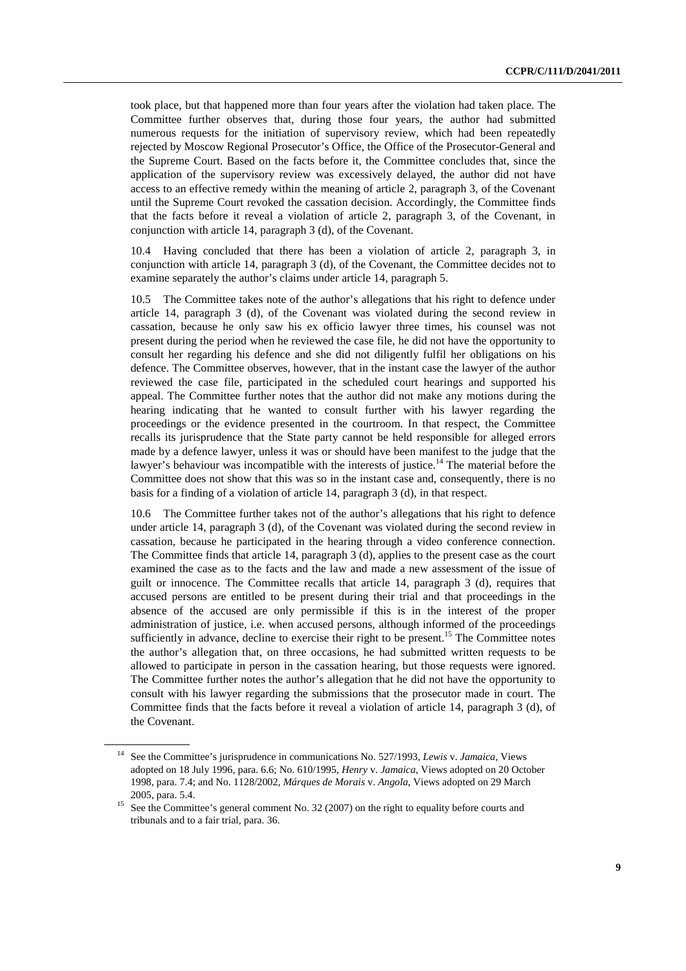took place, but that happened more than four years after the violation had taken place. The Committee further observes that, during those four years, the author had submitted numerous requests for the initiation of supervisory review, which had been repeatedly rejected by Moscow Regional Prosecutor's Office, the Office of the Prosecutor-General and the Supreme Court. Based on the facts before it, the Committee concludes that, since the application of the supervisory review was excessively delayed, the author did not have access to an effective remedy within the meaning of article 2, paragraph 3, of the Covenant until the Supreme Court revoked the cassation decision. Accordingly, the Committee finds that the facts before it reveal a violation of article 2, paragraph 3, of the Covenant, in conjunction with article 14, paragraph 3 (d), of the Covenant.

10.4 Having concluded that there has been a violation of article 2, paragraph 3, in conjunction with article 14, paragraph 3 (d), of the Covenant, the Committee decides not to examine separately the author's claims under article 14, paragraph 5.

10.5 The Committee takes note of the author's allegations that his right to defence under article 14, paragraph 3 (d), of the Covenant was violated during the second review in cassation, because he only saw his ex officio lawyer three times, his counsel was not present during the period when he reviewed the case file, he did not have the opportunity to consult her regarding his defence and she did not diligently fulfil her obligations on his defence. The Committee observes, however, that in the instant case the lawyer of the author reviewed the case file, participated in the scheduled court hearings and supported his appeal. The Committee further notes that the author did not make any motions during the hearing indicating that he wanted to consult further with his lawyer regarding the proceedings or the evidence presented in the courtroom. In that respect, the Committee recalls its jurisprudence that the State party cannot be held responsible for alleged errors made by a defence lawyer, unless it was or should have been manifest to the judge that the lawyer's behaviour was incompatible with the interests of justice.<sup>14</sup> The material before the Committee does not show that this was so in the instant case and, consequently, there is no basis for a finding of a violation of article 14, paragraph 3 (d), in that respect.

10.6 The Committee further takes not of the author's allegations that his right to defence under article 14, paragraph 3 (d), of the Covenant was violated during the second review in cassation, because he participated in the hearing through a video conference connection. The Committee finds that article 14, paragraph 3 (d), applies to the present case as the court examined the case as to the facts and the law and made a new assessment of the issue of guilt or innocence. The Committee recalls that article 14, paragraph 3 (d), requires that accused persons are entitled to be present during their trial and that proceedings in the absence of the accused are only permissible if this is in the interest of the proper administration of justice, i.e. when accused persons, although informed of the proceedings sufficiently in advance, decline to exercise their right to be present.<sup>15</sup> The Committee notes the author's allegation that, on three occasions, he had submitted written requests to be allowed to participate in person in the cassation hearing, but those requests were ignored. The Committee further notes the author's allegation that he did not have the opportunity to consult with his lawyer regarding the submissions that the prosecutor made in court. The Committee finds that the facts before it reveal a violation of article 14, paragraph 3 (d), of the Covenant.

<sup>14</sup> See the Committee's jurisprudence in communications No. 527/1993, *Lewis* v. *Jamaica*, Views adopted on 18 July 1996, para. 6.6; No. 610/1995, *Henry* v. *Jamaica*, Views adopted on 20 October 1998, para. 7.4; and No. 1128/2002, *Márques de Morais* v. *Angola*, Views adopted on 29 March

<sup>2005,</sup> para. 5.4. <br><sup>15</sup> See the Committee's general comment No. 32 (2007) on the right to equality before courts and tribunals and to a fair trial, para. 36.